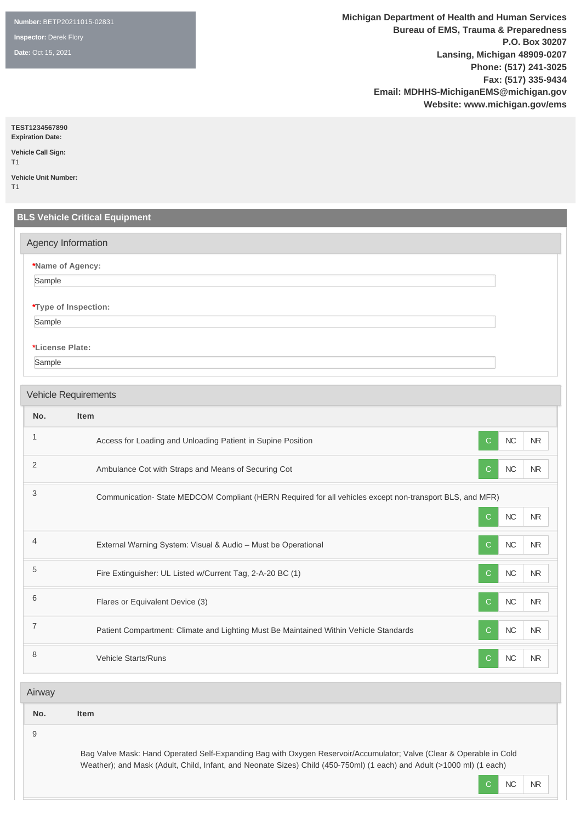**Number:** BETP20211015-02831

**Inspector:** Derek Flory

**Date:** Oct 15, 2021

**Michigan Department of Health and Human Services Bureau of EMS, Trauma & Preparedness P.O. Box 30207 Lansing, Michigan 48909-0207 Phone: (517) 241-3025 Fax: (517) 335-9434 Email: MDHHS-MichiganEMS@michigan.gov Website: www.michigan.gov/ems**

**TEST1234567890**

**Expiration Date: Vehicle Call Sign:** 

T1

**Vehicle Unit Number:**  T1

|                | Agency Information                                                                                      |                                        |
|----------------|---------------------------------------------------------------------------------------------------------|----------------------------------------|
|                | *Name of Agency:                                                                                        |                                        |
| Sample         |                                                                                                         |                                        |
|                | *Type of Inspection:                                                                                    |                                        |
| Sample         |                                                                                                         |                                        |
|                | *License Plate:                                                                                         |                                        |
| Sample         |                                                                                                         |                                        |
|                |                                                                                                         |                                        |
|                | <b>Vehicle Requirements</b>                                                                             |                                        |
| No.            | Item                                                                                                    |                                        |
|                | Access for Loading and Unloading Patient in Supine Position                                             | $\mathbf{C}$<br>NC<br>NR               |
|                | Ambulance Cot with Straps and Means of Securing Cot                                                     | <b>NC</b><br>$\mathsf{C}$<br><b>NR</b> |
| 3              | Communication-State MEDCOM Compliant (HERN Required for all vehicles except non-transport BLS, and MFR) |                                        |
|                |                                                                                                         | NC<br>$\mathbf C$<br><b>NR</b>         |
| $\overline{4}$ | External Warning System: Visual & Audio - Must be Operational                                           | NC<br>$\mathsf{C}$<br>${\sf NR}$       |
| 5              | Fire Extinguisher: UL Listed w/Current Tag, 2-A-20 BC (1)                                               | NC<br>$\mathsf{C}$<br><b>NR</b>        |
| 6              | Flares or Equivalent Device (3)                                                                         | ${\sf NC}$<br>$\mathsf{C}$<br>NR       |
| $\overline{7}$ | Patient Compartment: Climate and Lighting Must Be Maintained Within Vehicle Standards                   | $\mathsf{C}$<br>NC<br><b>NR</b>        |
|                |                                                                                                         | NC<br>${\bf C}$<br>${\sf NR}$          |

| No. |
|-----|
|-----|

**No. Item**

9

Bag Valve Mask: Hand Operated Self-Expanding Bag with Oxygen Reservoir/Accumulator; Valve (Clear & Operable in Cold Weather); and Mask (Adult, Child, Infant, and Neonate Sizes) Child (450-750ml) (1 each) and Adult (>1000 ml) (1 each)

C NC NR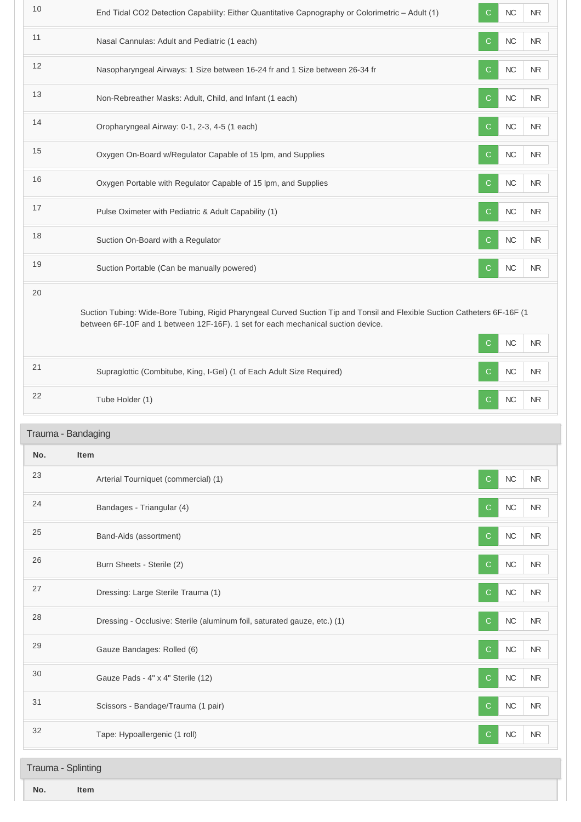| 10  | End Tidal CO2 Detection Capability: Either Quantitative Capnography or Colorimetric - Adult (1)                                                                                                               | С            | NC        | <b>NR</b>  |
|-----|---------------------------------------------------------------------------------------------------------------------------------------------------------------------------------------------------------------|--------------|-----------|------------|
| 11  | Nasal Cannulas: Adult and Pediatric (1 each)                                                                                                                                                                  | C            | $NC$      | <b>NR</b>  |
| 12  | Nasopharyngeal Airways: 1 Size between 16-24 fr and 1 Size between 26-34 fr                                                                                                                                   | C            | $NC$      | <b>NR</b>  |
| 13  | Non-Rebreather Masks: Adult, Child, and Infant (1 each)                                                                                                                                                       | С            | $NC$      | <b>NR</b>  |
| 14  | Oropharyngeal Airway: 0-1, 2-3, 4-5 (1 each)                                                                                                                                                                  | C.           | NC        | <b>NR</b>  |
| 15  | Oxygen On-Board w/Regulator Capable of 15 lpm, and Supplies                                                                                                                                                   | C            | $NC$      | ${\sf NR}$ |
| 16  | Oxygen Portable with Regulator Capable of 15 lpm, and Supplies                                                                                                                                                | C            | <b>NC</b> | ${\sf NR}$ |
| 17  | Pulse Oximeter with Pediatric & Adult Capability (1)                                                                                                                                                          | C            | $NC$      | NR         |
| 18  | Suction On-Board with a Regulator                                                                                                                                                                             | C            | $NC$      | ${\sf NR}$ |
| 19  | Suction Portable (Can be manually powered)                                                                                                                                                                    | C            | NC        | <b>NR</b>  |
| 20  | Suction Tubing: Wide-Bore Tubing, Rigid Pharyngeal Curved Suction Tip and Tonsil and Flexible Suction Catheters 6F-16F (1<br>between 6F-10F and 1 between 12F-16F). 1 set for each mechanical suction device. | C            | NC        | ${\sf NR}$ |
| 21  | Supraglottic (Combitube, King, I-Gel) (1 of Each Adult Size Required)                                                                                                                                         | C            | NC        | <b>NR</b>  |
| 22  | Tube Holder (1)                                                                                                                                                                                               | С            | NC        | <b>NR</b>  |
|     | Trauma - Bandaging                                                                                                                                                                                            |              |           |            |
| No. | Item                                                                                                                                                                                                          |              |           |            |
| 23  | Arterial Tourniquet (commercial) (1)                                                                                                                                                                          | $\mathsf{C}$ | NC        | <b>NR</b>  |
| 24  | Bandages - Triangular (4)                                                                                                                                                                                     | С            | $NC$      | NR.        |
| 25  | Band-Aids (assortment)                                                                                                                                                                                        | С            | $NC$      | <b>NR</b>  |
| 26  | Burn Sheets - Sterile (2)                                                                                                                                                                                     | C.           | $NC$      | $\sf NR$   |
| 27  | Dressing: Large Sterile Trauma (1)                                                                                                                                                                            | С            | $NC$      | NR         |
| 28  | Dressing - Occlusive: Sterile (aluminum foil, saturated gauze, etc.) (1)                                                                                                                                      | C            | $NC$      | <b>NR</b>  |
| 29  | Gauze Bandages: Rolled (6)                                                                                                                                                                                    | С            | $NC$      | <b>NR</b>  |
| 30  | Gauze Pads - 4" x 4" Sterile (12)                                                                                                                                                                             | С            | $NC$      | NR.        |
| 31  | Scissors - Bandage/Trauma (1 pair)                                                                                                                                                                            | С            | NC        | NR.        |
| 32  | Tape: Hypoallergenic (1 roll)                                                                                                                                                                                 | C            | $NC$      | <b>NR</b>  |
|     |                                                                                                                                                                                                               |              |           |            |
|     | Trauma - Splinting                                                                                                                                                                                            |              |           |            |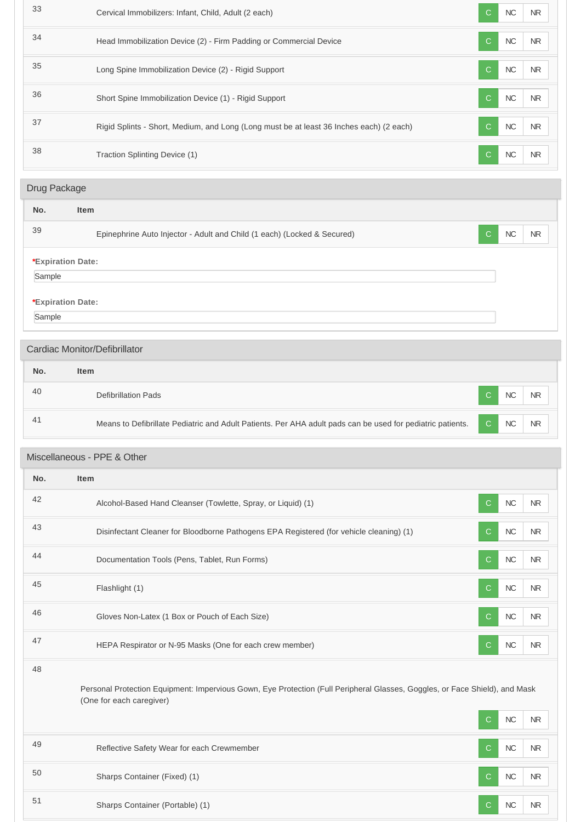| 33           | Cervical Immobilizers: Infant, Child, Adult (2 each)                                                                                                    | C            | NC         | <b>NR</b>      |
|--------------|---------------------------------------------------------------------------------------------------------------------------------------------------------|--------------|------------|----------------|
| 34           | Head Immobilization Device (2) - Firm Padding or Commercial Device                                                                                      | C            | <b>NC</b>  | NR.            |
| 35           | Long Spine Immobilization Device (2) - Rigid Support                                                                                                    | C            | NC         | <b>NR</b>      |
| 36           | Short Spine Immobilization Device (1) - Rigid Support                                                                                                   | C            | $NC$       | <b>NR</b>      |
| 37           | Rigid Splints - Short, Medium, and Long (Long must be at least 36 Inches each) (2 each)                                                                 | C            | NC         | N <sub>R</sub> |
| 38           | Traction Splinting Device (1)                                                                                                                           | C            | $NC$       | <b>NR</b>      |
| Drug Package |                                                                                                                                                         |              |            |                |
| No.          | <b>Item</b>                                                                                                                                             |              |            |                |
| 39           | Epinephrine Auto Injector - Adult and Child (1 each) (Locked & Secured)                                                                                 | С            | NC         | <b>NR</b>      |
|              | *Expiration Date:                                                                                                                                       |              |            |                |
| Sample       |                                                                                                                                                         |              |            |                |
|              | *Expiration Date:                                                                                                                                       |              |            |                |
| Sample       |                                                                                                                                                         |              |            |                |
|              | Cardiac Monitor/Defibrillator                                                                                                                           |              |            |                |
| No.          | <b>Item</b>                                                                                                                                             |              |            |                |
| 40           | <b>Defibrillation Pads</b>                                                                                                                              | С            | NC         | <b>NR</b>      |
| 41           | Means to Defibrillate Pediatric and Adult Patients. Per AHA adult pads can be used for pediatric patients.                                              | C            | NC         | <b>NR</b>      |
|              | Miscellaneous - PPE & Other                                                                                                                             |              |            |                |
| No.          | Item                                                                                                                                                    |              |            |                |
| 42           | Alcohol-Based Hand Cleanser (Towlette, Spray, or Liquid) (1)                                                                                            | C            | $NC$       | <b>NR</b>      |
| 43           | Disinfectant Cleaner for Bloodborne Pathogens EPA Registered (for vehicle cleaning) (1)                                                                 | C            | $NC$       | NR.            |
| 44           | Documentation Tools (Pens, Tablet, Run Forms)                                                                                                           | C            | $NC$       | <b>NR</b>      |
| 45           | Flashlight (1)                                                                                                                                          | C            | ${\sf NC}$ | <b>NR</b>      |
| 46           | Gloves Non-Latex (1 Box or Pouch of Each Size)                                                                                                          | C            | $NC$       | $\sf NR$       |
| 47           | HEPA Respirator or N-95 Masks (One for each crew member)                                                                                                | $\mathsf{C}$ | $NC$       | <b>NR</b>      |
| 48           |                                                                                                                                                         |              |            |                |
|              | Personal Protection Equipment: Impervious Gown, Eye Protection (Full Peripheral Glasses, Goggles, or Face Shield), and Mask<br>(One for each caregiver) |              |            |                |
|              |                                                                                                                                                         | С            | $NC$       | <b>NR</b>      |
| 49           | Reflective Safety Wear for each Crewmember                                                                                                              | C            | ${\sf NC}$ | <b>NR</b>      |
| 50           | Sharps Container (Fixed) (1)                                                                                                                            | C            | $NC$       | NR.            |
| 51           | Sharps Container (Portable) (1)                                                                                                                         | $\mathsf{C}$ | ${\sf NC}$ | ${\sf NR}$     |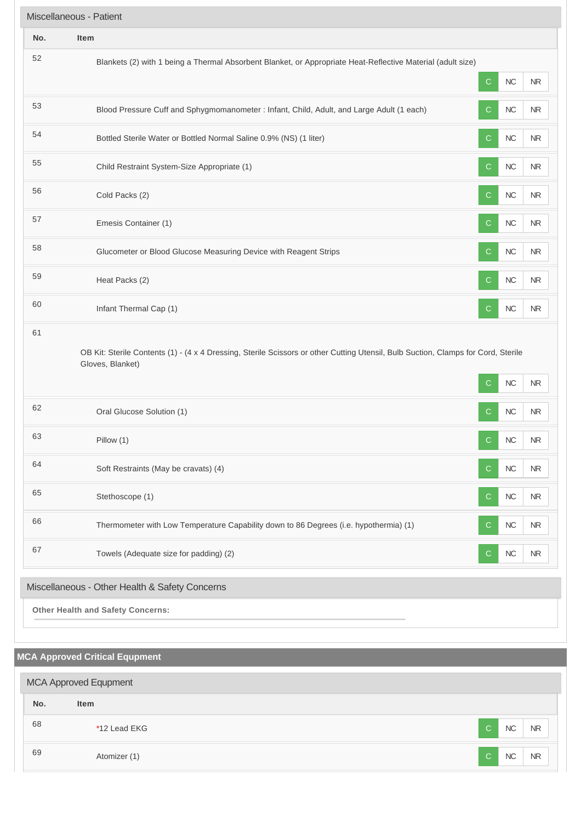| Miscellaneous - Patient                        |                                                                                                                                                       |              |            |           |  |  |
|------------------------------------------------|-------------------------------------------------------------------------------------------------------------------------------------------------------|--------------|------------|-----------|--|--|
| No.                                            | Item                                                                                                                                                  |              |            |           |  |  |
| 52                                             | Blankets (2) with 1 being a Thermal Absorbent Blanket, or Appropriate Heat-Reflective Material (adult size)                                           | $\mathsf{C}$ | NC         | $\sf NR$  |  |  |
| 53                                             | Blood Pressure Cuff and Sphygmomanometer : Infant, Child, Adult, and Large Adult (1 each)                                                             | C            | $NC$       | $\sf NR$  |  |  |
| 54                                             | Bottled Sterile Water or Bottled Normal Saline 0.9% (NS) (1 liter)                                                                                    | $\mathsf{C}$ | $NC$       | <b>NR</b> |  |  |
| 55                                             | Child Restraint System-Size Appropriate (1)                                                                                                           | C            | $NC$       | <b>NR</b> |  |  |
| 56                                             | Cold Packs (2)                                                                                                                                        | $\mathsf{C}$ | NC         | <b>NR</b> |  |  |
| 57                                             | Emesis Container (1)                                                                                                                                  | $\mathbf C$  | NC         | NR        |  |  |
| 58                                             | Glucometer or Blood Glucose Measuring Device with Reagent Strips                                                                                      | $\mathsf{C}$ | <b>NC</b>  | <b>NR</b> |  |  |
| 59                                             | Heat Packs (2)                                                                                                                                        | C            | NC         | NR        |  |  |
| 60                                             | Infant Thermal Cap (1)                                                                                                                                | $\mathsf{C}$ | $NC$       | $\sf NR$  |  |  |
| 61                                             | OB Kit: Sterile Contents (1) - (4 x 4 Dressing, Sterile Scissors or other Cutting Utensil, Bulb Suction, Clamps for Cord, Sterile<br>Gloves, Blanket) | С            | NC         | <b>NR</b> |  |  |
| 62                                             | Oral Glucose Solution (1)                                                                                                                             | C            | NC         | $\sf NR$  |  |  |
| 63                                             | Pillow (1)                                                                                                                                            | $\mathbf{C}$ | NC         | <b>NR</b> |  |  |
| 64                                             | Soft Restraints (May be cravats) (4)                                                                                                                  | C            | NC         | $\sf NR$  |  |  |
| 65                                             | Stethoscope (1)                                                                                                                                       | $\mathbf C$  | ${\sf NC}$ | $\sf NR$  |  |  |
| 66                                             | Thermometer with Low Temperature Capability down to 86 Degrees (i.e. hypothermia) (1)                                                                 | $\mathsf{C}$ | ${\sf NC}$ | <b>NR</b> |  |  |
| 67                                             | Towels (Adequate size for padding) (2)                                                                                                                | $\mathsf{C}$ | ${\sf NC}$ | <b>NR</b> |  |  |
| Miscellaneous - Other Health & Safety Concerns |                                                                                                                                                       |              |            |           |  |  |
|                                                | <b>Other Health and Safety Concerns:</b>                                                                                                              |              |            |           |  |  |

# **MCA Approved Critical Equpment No. Item** estimated that the set of the set of the set of the set of the set of the set of the set of the set of the set of the set of the set of the set of the set of the set of the set of the set of the set of the set of the set o 69 Atomizer (1) Atomizer (1) Atomizer (1) Atomizer (1) Atomizer (1) Atomizer (1) Atomizer (1) Atomizer (1) Atomizer (1) Atomizer (1) Atomizer (1) Atomizer (1) Atomizer (1) Atomizer (1) Atomizer (1) Atomizer (1) Atomizer (1 MCA Approved Equpment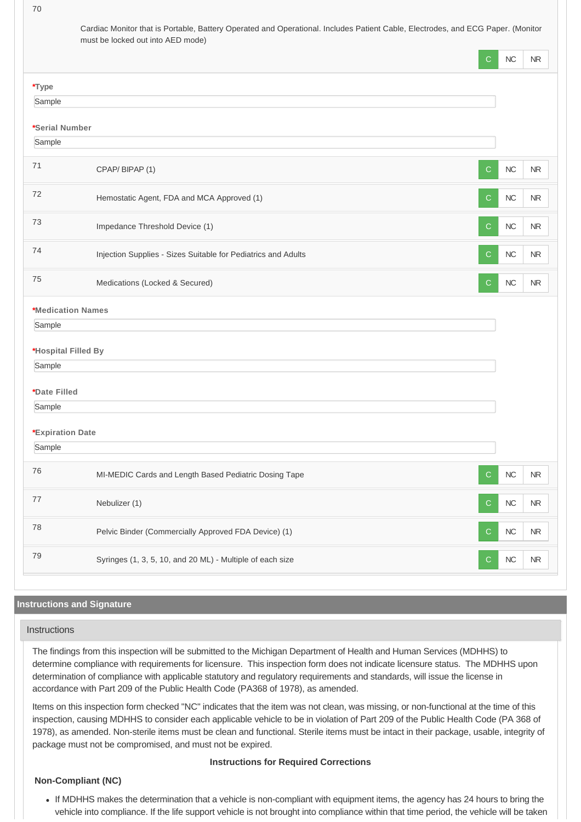70

| Cardiac Monitor that is Portable, Battery Operated and Operational. Includes Patient Cable, Electrodes, and ECG Paper. (Monitor |  |
|---------------------------------------------------------------------------------------------------------------------------------|--|
| must be locked out into AED mode)                                                                                               |  |

|                          | С                                                                  | NC         | NR         |
|--------------------------|--------------------------------------------------------------------|------------|------------|
| *Type                    |                                                                    |            |            |
| Sample                   |                                                                    |            |            |
| *Serial Number           |                                                                    |            |            |
| Sample                   |                                                                    |            |            |
| 71                       | CPAP/BIPAP(1)<br>C                                                 | NC         | <b>NR</b>  |
| 72                       | Hemostatic Agent, FDA and MCA Approved (1)<br>C                    | NC         | NR         |
| 73                       | Impedance Threshold Device (1)<br>С                                | NC         | $\sf NR$   |
| 74                       | Injection Supplies - Sizes Suitable for Pediatrics and Adults<br>С | NC         | <b>NR</b>  |
| 75                       | Medications (Locked & Secured)<br>$\mathbf C$                      | NC         | $\sf NR$   |
| <b>*Medication Names</b> |                                                                    |            |            |
| Sample                   |                                                                    |            |            |
| *Hospital Filled By      |                                                                    |            |            |
| Sample                   |                                                                    |            |            |
| *Date Filled             |                                                                    |            |            |
| Sample                   |                                                                    |            |            |
|                          |                                                                    |            |            |
| *Expiration Date         |                                                                    |            |            |
| Sample                   |                                                                    |            |            |
| 76                       | MI-MEDIC Cards and Length Based Pediatric Dosing Tape<br>C.        | NC         | NR         |
| $77\,$                   | Nebulizer (1)<br>С                                                 | ${\sf NC}$ | $\sf NR$   |
| 78                       | Pelvic Binder (Commercially Approved FDA Device) (1)<br>С          | $\sf NC$   | ${\sf NR}$ |
| 79                       | Syringes (1, 3, 5, 10, and 20 ML) - Multiple of each size<br>С     | $\sf NC$   | ${\sf NR}$ |

# **Instructions and Signature**

#### **Instructions**

The findings from this inspection will be submitted to the Michigan Department of Health and Human Services (MDHHS) to determine compliance with requirements for licensure. This inspection form does not indicate licensure status. The MDHHS upon determination of compliance with applicable statutory and regulatory requirements and standards, will issue the license in accordance with Part 209 of the Public Health Code (PA368 of 1978), as amended.

Items on this inspection form checked "NC" indicates that the item was not clean, was missing, or non-functional at the time of this inspection, causing MDHHS to consider each applicable vehicle to be in violation of Part 209 of the Public Health Code (PA 368 of 1978), as amended. Non-sterile items must be clean and functional. Sterile items must be intact in their package, usable, integrity of package must not be compromised, and must not be expired.

#### **Instructions for Required Corrections**

#### **Non-Compliant (NC)**

If MDHHS makes the determination that a vehicle is non-compliant with equipment items, the agency has 24 hours to bring the vehicle into compliance. If the life support vehicle is not brought into compliance within that time period, the vehicle will be taken